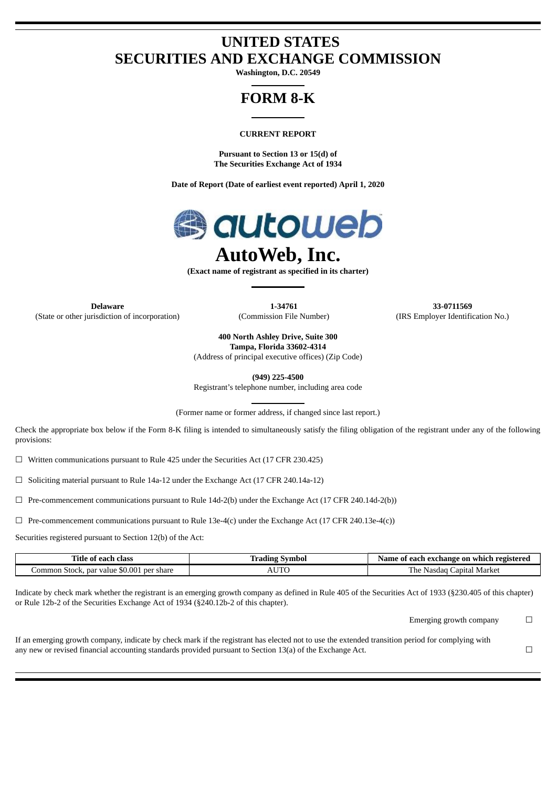# **UNITED STATES SECURITIES AND EXCHANGE COMMISSION**

**Washington, D.C. 20549**

# **FORM 8-K**

## **CURRENT REPORT**

**Pursuant to Section 13 or 15(d) of The Securities Exchange Act of 1934**

**Date of Report (Date of earliest event reported) April 1, 2020**



**(Exact name of registrant as specified in its charter)**

**Delaware 1-34761 33-0711569** (State or other jurisdiction of incorporation) (Commission File Number) (IRS Employer Identification No.)

**400 North Ashley Drive, Suite 300 Tampa, Florida 33602-4314**

(Address of principal executive offices) (Zip Code)

**(949) 225-4500**

Registrant's telephone number, including area code

(Former name or former address, if changed since last report.)

Check the appropriate box below if the Form 8-K filing is intended to simultaneously satisfy the filing obligation of the registrant under any of the following provisions:

 $\Box$  Written communications pursuant to Rule 425 under the Securities Act (17 CFR 230.425)

 $\Box$  Soliciting material pursuant to Rule 14a-12 under the Exchange Act (17 CFR 240.14a-12)

 $\Box$  Pre-commencement communications pursuant to Rule 14d-2(b) under the Exchange Act (17 CFR 240.14d-2(b))

 $\Box$  Pre-commencement communications pursuant to Rule 13e-4(c) under the Exchange Act (17 CFR 240.13e-4(c))

Securities registered pursuant to Section 12(b) of the Act:

| Title of .<br>class<br>each                              | Symbol<br>Irading | ≅registere∩<br>: each exchange on which :<br>Name<br>01 |
|----------------------------------------------------------|-------------------|---------------------------------------------------------|
| \$0.001 per share<br>. par value<br>. ommon. '<br>Stock. |                   | Market<br>apıtar '<br>-Nasda                            |

Indicate by check mark whether the registrant is an emerging growth company as defined in Rule 405 of the Securities Act of 1933 (§230.405 of this chapter) or Rule 12b-2 of the Securities Exchange Act of 1934 (§240.12b-2 of this chapter).

Emerging growth company  $\Box$ 

If an emerging growth company, indicate by check mark if the registrant has elected not to use the extended transition period for complying with any new or revised financial accounting standards provided pursuant to Section 13(a) of the Exchange Act.  $□$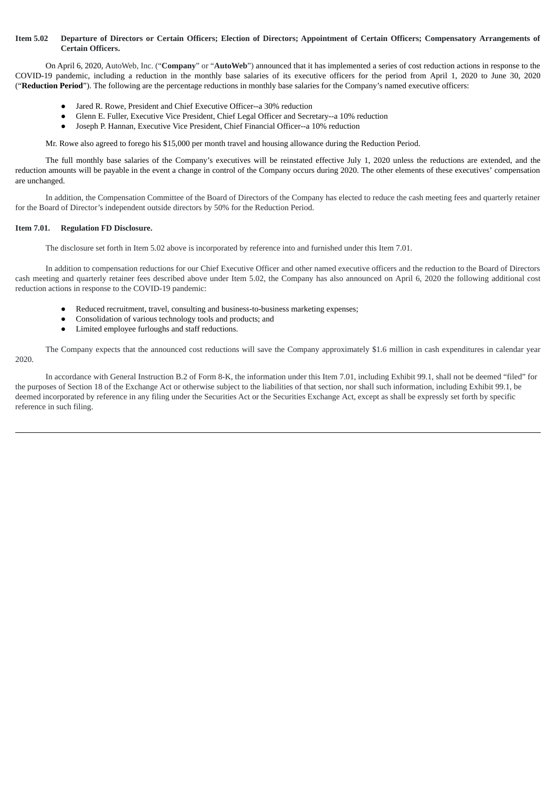### **Item 5.02 Departure of Directors or Certain Officers; Election of Directors; Appointment of Certain Officers; Compensatory Arrangements of Certain Officers.**

On April 6, 2020, AutoWeb, Inc. ("**Company**" or "**AutoWeb**") announced that it has implemented a series of cost reduction actions in response to the COVID-19 pandemic, including a reduction in the monthly base salaries of its executive officers for the period from April 1, 2020 to June 30, 2020 ("**Reduction Period**"). The following are the percentage reductions in monthly base salaries for the Company's named executive officers:

- Jared R. Rowe, President and Chief Executive Officer--a 30% reduction
- Glenn E. Fuller, Executive Vice President, Chief Legal Officer and Secretary--a 10% reduction
- Joseph P. Hannan, Executive Vice President, Chief Financial Officer--a 10% reduction

Mr. Rowe also agreed to forego his \$15,000 per month travel and housing allowance during the Reduction Period.

The full monthly base salaries of the Company's executives will be reinstated effective July 1, 2020 unless the reductions are extended, and the reduction amounts will be payable in the event a change in control of the Company occurs during 2020. The other elements of these executives' compensation are unchanged.

In addition, the Compensation Committee of the Board of Directors of the Company has elected to reduce the cash meeting fees and quarterly retainer for the Board of Director's independent outside directors by 50% for the Reduction Period.

### **Item 7.01. Regulation FD Disclosure.**

The disclosure set forth in Item 5.02 above is incorporated by reference into and furnished under this Item 7.01.

In addition to compensation reductions for our Chief Executive Officer and other named executive officers and the reduction to the Board of Directors cash meeting and quarterly retainer fees described above under Item 5.02, the Company has also announced on April 6, 2020 the following additional cost reduction actions in response to the COVID-19 pandemic:

- Reduced recruitment, travel, consulting and business-to-business marketing expenses;
- Consolidation of various technology tools and products; and
- Limited employee furloughs and staff reductions.

The Company expects that the announced cost reductions will save the Company approximately \$1.6 million in cash expenditures in calendar year 2020.

In accordance with General Instruction B.2 of Form 8-K, the information under this Item 7.01, including Exhibit 99.1, shall not be deemed "filed" for the purposes of Section 18 of the Exchange Act or otherwise subject to the liabilities of that section, nor shall such information, including Exhibit 99.1, be deemed incorporated by reference in any filing under the Securities Act or the Securities Exchange Act, except as shall be expressly set forth by specific reference in such filing.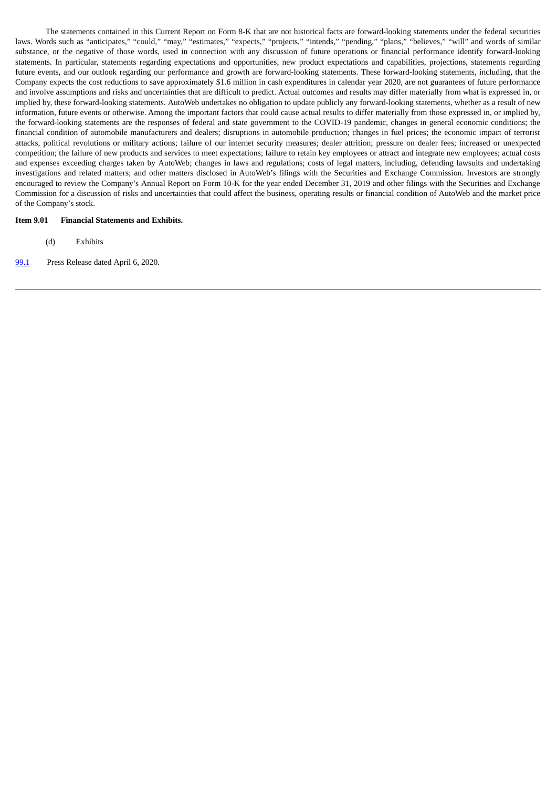The statements contained in this Current Report on Form 8-K that are not historical facts are forward-looking statements under the federal securities laws. Words such as "anticipates," "could," "may," "estimates," "expects," "projects," "intends," "pending," "plans," "believes," "will" and words of similar substance, or the negative of those words, used in connection with any discussion of future operations or financial performance identify forward-looking statements. In particular, statements regarding expectations and opportunities, new product expectations and capabilities, projections, statements regarding future events, and our outlook regarding our performance and growth are forward-looking statements. These forward-looking statements, including, that the Company expects the cost reductions to save approximately \$1.6 million in cash expenditures in calendar year 2020, are not guarantees of future performance and involve assumptions and risks and uncertainties that are difficult to predict. Actual outcomes and results may differ materially from what is expressed in, or implied by, these forward-looking statements. AutoWeb undertakes no obligation to update publicly any forward-looking statements, whether as a result of new information, future events or otherwise. Among the important factors that could cause actual results to differ materially from those expressed in, or implied by, the forward-looking statements are the responses of federal and state government to the COVID-19 pandemic, changes in general economic conditions; the financial condition of automobile manufacturers and dealers; disruptions in automobile production; changes in fuel prices; the economic impact of terrorist attacks, political revolutions or military actions; failure of our internet security measures; dealer attrition; pressure on dealer fees; increased or unexpected competition; the failure of new products and services to meet expectations; failure to retain key employees or attract and integrate new employees; actual costs and expenses exceeding charges taken by AutoWeb; changes in laws and regulations; costs of legal matters, including, defending lawsuits and undertaking investigations and related matters; and other matters disclosed in AutoWeb's filings with the Securities and Exchange Commission. Investors are strongly encouraged to review the Company's Annual Report on Form 10-K for the year ended December 31, 2019 and other filings with the Securities and Exchange Commission for a discussion of risks and uncertainties that could affect the business, operating results or financial condition of AutoWeb and the market price of the Company's stock.

### **Item 9.01 Financial Statements and Exhibits.**

- (d) Exhibits
- [99.1](#page-4-0) Press Release dated April 6, 2020.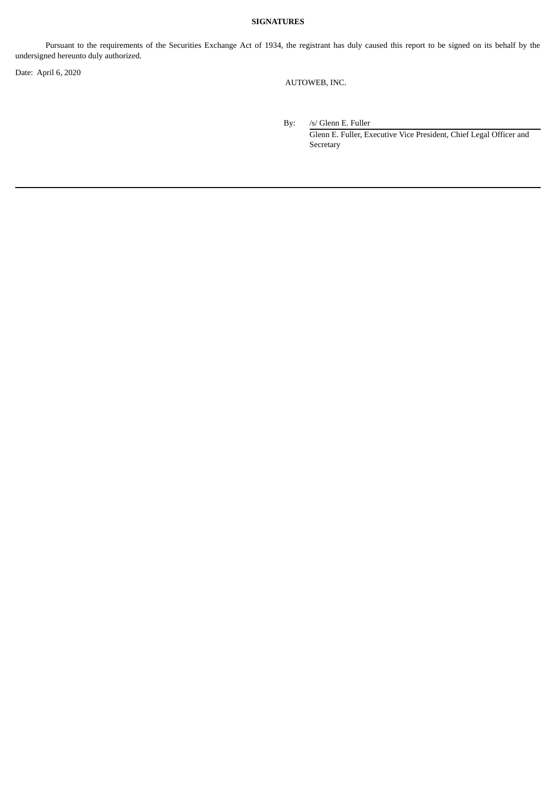# **SIGNATURES**

Pursuant to the requirements of the Securities Exchange Act of 1934, the registrant has duly caused this report to be signed on its behalf by the undersigned hereunto duly authorized.

Date: April 6, 2020

AUTOWEB, INC.

By: /s/ Glenn E. Fuller

Glenn E. Fuller, Executive Vice President, Chief Legal Officer and **Secretary**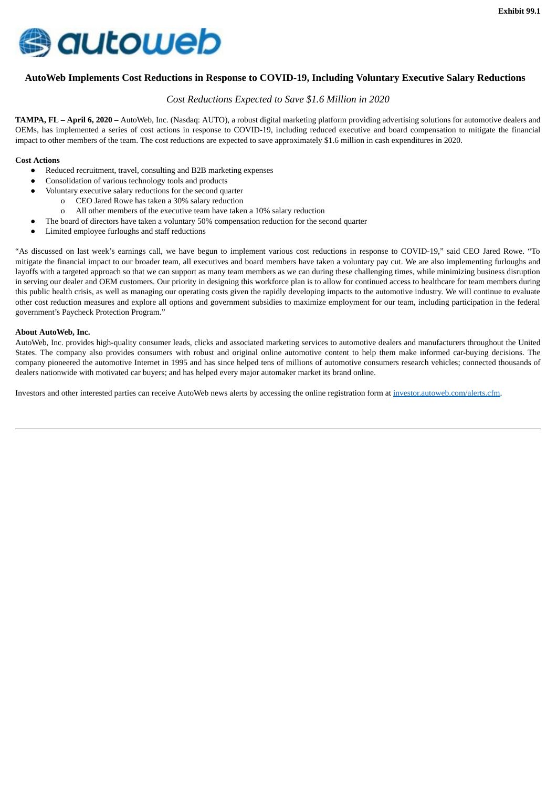<span id="page-4-0"></span>

# **AutoWeb Implements Cost Reductions in Response to COVID-19, Including Voluntary Executive Salary Reductions**

# *Cost Reductions Expected to Save \$1.6 Million in 2020*

**TAMPA, FL – April 6, 2020 –** AutoWeb, Inc. (Nasdaq: AUTO), a robust digital marketing platform providing advertising solutions for automotive dealers and OEMs, has implemented a series of cost actions in response to COVID-19, including reduced executive and board compensation to mitigate the financial impact to other members of the team. The cost reductions are expected to save approximately \$1.6 million in cash expenditures in 2020.

### **Cost Actions**

- Reduced recruitment, travel, consulting and B2B marketing expenses
- Consolidation of various technology tools and products
- Voluntary executive salary reductions for the second quarter
	- o CEO Jared Rowe has taken a 30% salary reduction
	- o All other members of the executive team have taken a 10% salary reduction
	- The board of directors have taken a voluntary 50% compensation reduction for the second quarter
- Limited employee furloughs and staff reductions

"As discussed on last week's earnings call, we have begun to implement various cost reductions in response to COVID-19," said CEO Jared Rowe. "To mitigate the financial impact to our broader team, all executives and board members have taken a voluntary pay cut. We are also implementing furloughs and layoffs with a targeted approach so that we can support as many team members as we can during these challenging times, while minimizing business disruption in serving our dealer and OEM customers. Our priority in designing this workforce plan is to allow for continued access to healthcare for team members during this public health crisis, as well as managing our operating costs given the rapidly developing impacts to the automotive industry. We will continue to evaluate other cost reduction measures and explore all options and government subsidies to maximize employment for our team, including participation in the federal government's Paycheck Protection Program."

### **About AutoWeb, Inc.**

AutoWeb, Inc. provides high-quality consumer leads, clicks and associated marketing services to automotive dealers and manufacturers throughout the United States. The company also provides consumers with robust and original online automotive content to help them make informed car-buying decisions. The company pioneered the automotive Internet in 1995 and has since helped tens of millions of automotive consumers research vehicles; connected thousands of dealers nationwide with motivated car buyers; and has helped every major automaker market its brand online.

Investors and other interested parties can receive AutoWeb news alerts by accessing the online registration form at investor.autoweb.com/alerts.cfm.